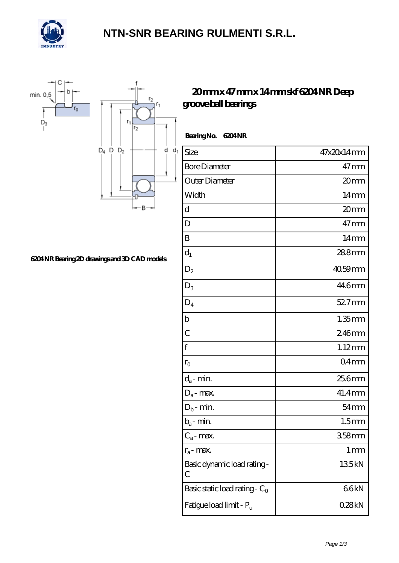

### **[NTN-SNR BEARING RULMENTI S.R.L.](https://m.confidencemenimprov.com)**



#### **[6204 NR Bearing 2D drawings and 3D CAD models](https://m.confidencemenimprov.com/pic-64974233.html)**

### **[20 mm x 47 mm x 14 mm skf 6204 NR Deep](https://m.confidencemenimprov.com/bh-64974233-skf-6204-nr-deep-groove-ball-bearings.html) [groove ball bearings](https://m.confidencemenimprov.com/bh-64974233-skf-6204-nr-deep-groove-ball-bearings.html)**

| Bearing No. 6204NR                  |                    |
|-------------------------------------|--------------------|
| Size                                | 47x20x14mm         |
| <b>Bore Diameter</b>                | $47 \,\mathrm{mm}$ |
| Outer Diameter                      | 20mm               |
| Width                               | $14 \text{mm}$     |
| d                                   | 20mm               |
| D                                   | $47$ mm            |
| B                                   | $14 \text{mm}$     |
| $d_1$                               | 288mm              |
| $D_2$                               | $4059$ mm          |
| $D_3$                               | 44.6mm             |
| $D_4$                               | 52.7mm             |
| b                                   | $1.35$ mm          |
| $\overline{C}$                      | 246mm              |
| f                                   | $1.12$ mm          |
| $r_{\rm O}$                         | 04 <sub>mm</sub>   |
| $d_a$ - min.                        | 25.6mm             |
| $D_a$ - max.                        | 41.4mm             |
| $D_b$ - min.                        | $54 \text{mm}$     |
| $b_a$ - min.                        | 1.5 <sub>mm</sub>  |
| $C_a$ - max.                        | 358mm              |
| $r_a$ - max.                        | 1 <sub>mm</sub>    |
| Basic dynamic load rating-<br>С     | 135kN              |
| Basic static load rating - $C_0$    | 66kN               |
| Fatigue load limit - P <sub>u</sub> | 028kN              |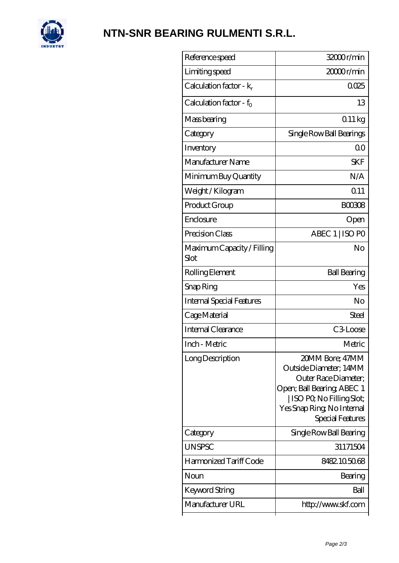

# **[NTN-SNR BEARING RULMENTI S.R.L.](https://m.confidencemenimprov.com)**

| 32000r/min                                                                                                                                                                     |
|--------------------------------------------------------------------------------------------------------------------------------------------------------------------------------|
| 20000r/min                                                                                                                                                                     |
| 0025                                                                                                                                                                           |
| 13                                                                                                                                                                             |
| 011kg                                                                                                                                                                          |
| Single Row Ball Bearings                                                                                                                                                       |
| 0 <sup>0</sup>                                                                                                                                                                 |
| <b>SKF</b>                                                                                                                                                                     |
| N/A                                                                                                                                                                            |
| 0.11                                                                                                                                                                           |
| <b>BOO308</b>                                                                                                                                                                  |
| Open                                                                                                                                                                           |
| ABEC 1   ISO PO                                                                                                                                                                |
| No                                                                                                                                                                             |
| <b>Ball Bearing</b>                                                                                                                                                            |
| Yes                                                                                                                                                                            |
| No                                                                                                                                                                             |
| Steel                                                                                                                                                                          |
| C3Loose                                                                                                                                                                        |
| Metric                                                                                                                                                                         |
| 20MM Bore; 47MM<br>Outside Diameter; 14MM<br>Outer Race Diameter;<br>Open; Ball Bearing; ABEC 1<br>  ISO PQ No Filling Slot;<br>Yes Snap Ring, No Internal<br>Special Features |
| Single Row Ball Bearing                                                                                                                                                        |
| 31171504                                                                                                                                                                       |
| 8482105068                                                                                                                                                                     |
| Bearing                                                                                                                                                                        |
| Ball                                                                                                                                                                           |
| http://www.skf.com                                                                                                                                                             |
|                                                                                                                                                                                |